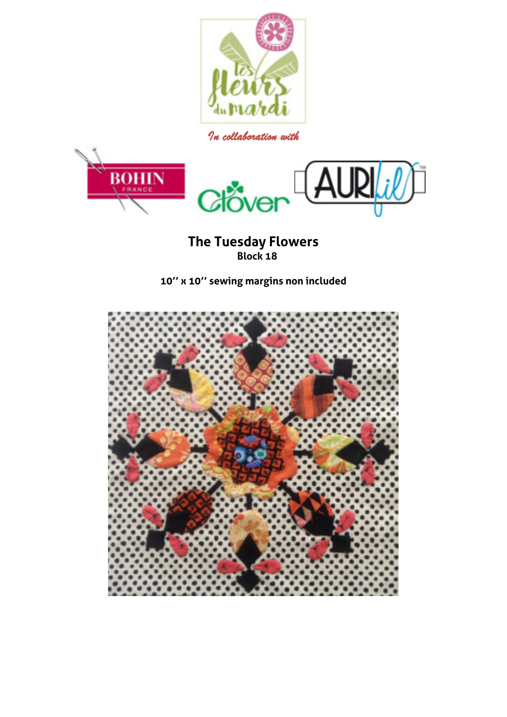

*In collaboration with* 



**The Tuesday Flowers Block 18 Block 18** 

**10'' x 10'' sewing margins non included** 

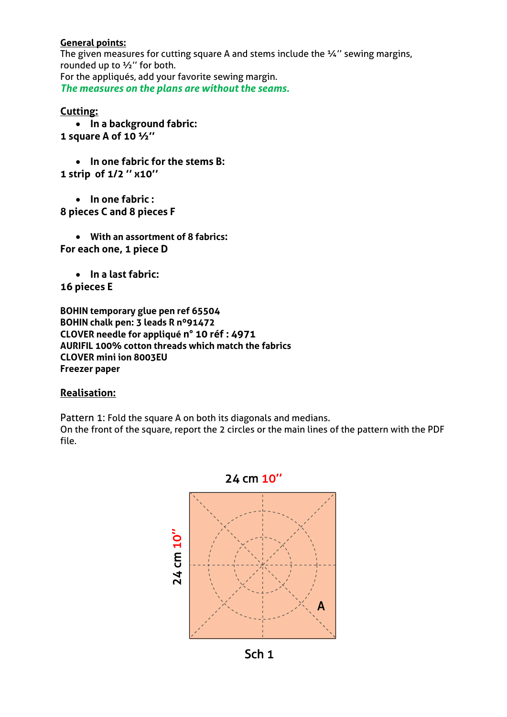## **General points:**

The given measures for cutting square A and stems include the  $\frac{1}{4}$ " sewing margins, rounded up to ½'' for both. For the appliqués, add your favorite sewing margin. *The measures on the plans are without the seams.*

## **Cutting:**

 **In a background fabric: 1 square A of 10 ½''**

 **In one fabric for the stems B: 1 strip of 1/2 '' x10''**

 **In one fabric : 8 pieces C and 8 pieces F** 

 **With an assortment of 8 fabrics: For each one, 1 piece D** 

**In a last fabric:** 

**16 pieces E** 

**BOHIN temporary glue pen ref 65504 BOHIN chalk pen: 3 leads R nº91472 CLOVER needle for appliqué n° 10 réf : 4971 AURIFIL 100% cotton threads which match the fabrics CLOVER mini ion 8003EU Freezer paper** 

## **Realisation:**

Pattern 1: Fold the square A on both its diagonals and medians. On the front of the square, report the 2 circles or the main lines of the pattern with the PDF file.



Sch<sub>1</sub>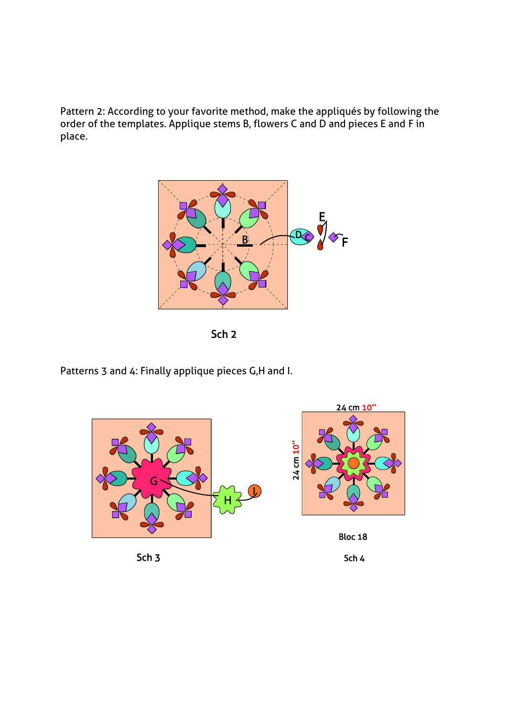Pattern 2: According to your favorite method, make the appliqués by following the order of the templates. Applique stems B, flowers C and D and pieces E and F in place.





Patterns 3 and 4: Finally applique pieces G,H and I.